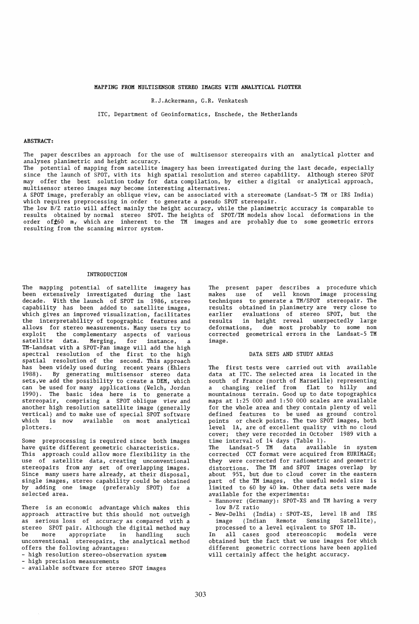MAPPING FROM MULTISENSOR STEREO IMAGES WITH ANALYTICAL PLOTTER

R.J.Ackermann, G.R. Venkatesh

lTC, Department of Geoinformatics, Enschede, the Netherlands

### ABSTRACT:

The paper describes an approach for the use of multisensor stereopairs with an analytical plotter and analyses planimetric and height accuracy.

The potential of mapping from satellite imagery has been investigated during the last decade, especially since the launch of SPOT, with its high spatial resolution and stereo capability. Although stereo SPOT may offer the best solution today for data compilation, by either a digital or analytical approach, multisensor stereo images may become interesting alternatives.

A SPOT image, preferably an oblique view, can be associated with a stereomate (Landsat-5 TM or IRS India) which requires preprocessing in order to generate a pseudo SPOT stereopair.

The low B/Z ratio will affect mainly the height accuracy, while the planimetric accuracy is comparable to results obtained by normal stereo SPOT. The heights of *SPOT/TM* models show local deformations in the order of±60 m, which are inherent to the TM images and are probably due to some geometric errors resulting from the scanning mirror system.

### INTRODUCTION

The mapping potential of satellite imagery has been extensively investigated during the last decade. Vith the launch of SPOT in 1986, stereo capability has been added to satellite images, which gives an improved visualization, facilitates the interpretability of topographic features and allows for stereo measurements. Many users try to exploit the complementary aspects of various satellite data. Merging, for instance, a TM-Landsat with a SPOT-Pan image will add the high spectral resolution of the first to the high spatial resolution of the second. This approach has been widely used during recent years (Ehlers 1988). By generating multisensor stereo data sets,we add the possibility to create a DEM, which can be used for many applications (Velch, Jordan 1990). The basic idea here is to generate a stereopair, comprising a SPOT oblique view and another high resolution satellite image (generally vertical) and to make use of special SPOT software which is now available on most analytical plotters.

Some preprocessing is required since both images have quite different geometric characteristics. This approach could allow more flexibility in the use of satellite data, creating unconventional stereopairs from any set of overlapping images. Since many users have already, at their disposal, single images, stereo capability could be obtained by adding one image (preferably SPOT) for a selected area.

There is an economic advantage which makes this approach attractive but this should not outweigh as serious loss of accuracy as compared with a stereo SPOT pair. Although the digital method may be more appropriate in handling such unconventional stereopairs, the analytical method offers the following advantages:

- high resolution stereo-observation system

- high precision measurements

available software for stereo SPOT images

The present paper describes a procedure-which<br>makes use of well known image processing makes use of well known techniques to generate a *TM/SPOT* stereopair. The results obtained in planimetry are very close to earlier evaluations of stereo SPOT, but the results in height reveal unexpectedly large deformations, due most probably to some non corrected geometrical errors in the Landsat-5 TM image.

### DATA SETS AND STUDY AREAS

The first tests were carried out with available data at ITC. The selected area is located in the south of France (north of Marseille) representing a changing relief from flat to hilly and mountainous terrain. Good up to date topographics maps at 1:25 000 and 1:50 000 scales are available for the whole area and they contain plenty of well defined features to be used as ground control points or check points. The two SPOT images, both level lA, are of excellent quality with no cloud cover; they were recorded in October 1989 with a time interval of 14 days (Table 1).

The Landsat-5 TM data available in system corrected CCT format were acquired from EURIMAGE; they were corrected for radiometric and geometric distortions. The TM and SPOT images overlap by about 95%, but due to cloud cover in the eastern part of the TM images, the useful model size is limited to 60 by 40 km. Other data sets were made available for the experiments:

- Hannover (Germany): SPOT-XS and TM having a very low *BIZ* ratio
- New-Delhi (India) : SPOT-XS, level 1B and IRS image (Indian Remote Sensing Satellite), processed to a level eqivalent to SPOT lB.

In all cases good stereoscopic models were obtained but the fact that we use images for which different geometric corrections have been applied will certainly affect the height accuracy.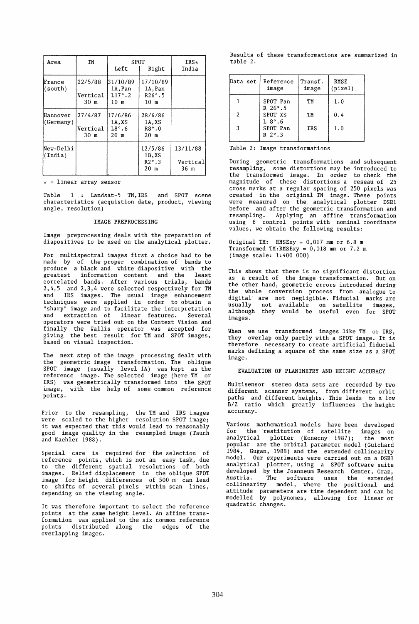| Area                  | TM                          | SPOT<br>Left                                | $IRS*$<br>India                                         |                              |
|-----------------------|-----------------------------|---------------------------------------------|---------------------------------------------------------|------------------------------|
| France<br>(south)     | 22/5/88<br>Vertical<br>30 m | 31/10/89<br>1A.Pan<br>$L17^\circ.2$<br>10 m | 17/10/89<br>1A, Pan<br>$R26^\circ.5$<br>10 m            |                              |
| Hannover<br>(Germany) | 27/4/87<br>Vertical<br>30 m | 17/6/86<br>1A.XS<br>$L8^\circ.6$<br>20 m    | 28/6/86<br>1A.XS<br>$R8^\circ.0$<br>20 m                |                              |
| New-Delhi<br>(India)  |                             |                                             | 12/5/86<br>$1B$ , XS<br>$R2^\circ.3$<br>20 <sub>m</sub> | 13/11/88<br>Vertical<br>36 m |

 $\star$  = linear array sensor

Table 1 : Landsat-5 TM, IRS and SPOT scene characteristics (acquistion date, product, viewing angle, resolution)

## IMAGE PREPROCESSING

Image preprocessing deals with the preparation of diapositives to be used on the analytical plotter.

For multispectral images first a choice had to be made by of the proper combination of bands to produce a black and white diapositive with the .<br>greatest information content and the least correlated bands. After various trials, bands 2,4,5 and 2,3,4 were selected respectively for TM and IRS images. The usual image enhancement techniques were applied in order to obtain a "sharp" image and to facilitate the interpretation and extraction of linear features. Several operators were tried out on the Context Vision and finally the Vallis operator was accepted for giving the best result for TM and SPOT images, based on visual inspection.

The next step of the image processing dealt with the geometric image transformation. The oblique SPOT image (usually level 1A) was kept as the reference image. The selected image (here TM or IRS) was geometrically transformed into the SPOT image, with the help of some common reference points.

Prior to the resampling, the TM and IRS images were scaled to the higher resolution SPOT image; it was expected that this would lead to reasonably good image quality in the resampled image (Tauch and Kaehler 1988).

Special care is required for the selection of reference points, which is not an easy task, due to the different spatial resolutions of both images. Relief displacement in the oblique SPOT image for height differences of 500 m can lead to shifts of several pixels within scan lines, depending on the viewing angle.

It was therefore important to select the reference points at the same height level. An affine transformation was applied to the six common reference points distributed along the edges of the overlapping images.

Results of these transformations are summarized in table 2.

| Data set      | Reference<br>image                    | Transf.<br>image | <b>RMSE</b><br>(pixel) |
|---------------|---------------------------------------|------------------|------------------------|
|               | SPOT Pan<br>$R$ 26°.5                 | TM               | 1.0                    |
| $\mathcal{P}$ | SPOT XS                               | TM               | 0.4                    |
| 3             | $L 8^\circ.6$<br>SPOT Pan<br>$R$ 2°.3 | IRS              | 1.0                    |

Table 2: Image transformations

During geometric transformations and subsequent resampling, some distortions may be introduced to the transformed image. In order to check the magnitude of these distortions a reseau of 25 cross marks at a regular spacing of 250 pixels was created in the original TM image. These points were measured on the analytical plotter DSR1 before and after the geometric transformation and resampling. Applying an affine transformation using 6 control points with nominal coordinate values, we obtain the following results:

Original TM: RMSExy = 0,017 mm or 6.8 m Transformed TM:RMSExy = 0,018 mm or 7.2 m (image scale: 1:400 000)

This shows that there is no significant distortion as a result of the image transformation. But on the other hand, geometric errors introduced during the whole conversion process from analogue to digital are not negligible. Fiducial marks are usually not available on satellite images, although they would be useful even for SPOT images.

Vhen we use transformed images like TM or IRS, they overlap only partly with a SPOT image. It is therefore necessary to create artificial fiducial marks defining a square of the same size as a SPOT image.

EVALUATION OF PLANIMETRY AND HEIGHT ACCURACY

Multisensor stereo data sets are recorded by two different scanner systems, from different orbit paths and different heights. This leads to a low B/Z ratio which greatly influences the height accuracy\_

Various mathematical models have been developed Various mathematicul medicing<br>for the restitution of satellite images on<br>analytical plotter (Konecny 1987); the most analytical plotter (Konecny 1987); popular are the orbital parameter model (Guichard 1984, Gugan, 1988) and the extended collinearity model. Our experiments were carried out on a DSR1 analytical plotter, using a SPOT software suite developed by the Joanneum Research Center, Graz, Austria. The software uses the extended collinearity model, where the positional and attitude parameters are time dependent and can be modelled by polynomes, allowing for linear or quadratic changes.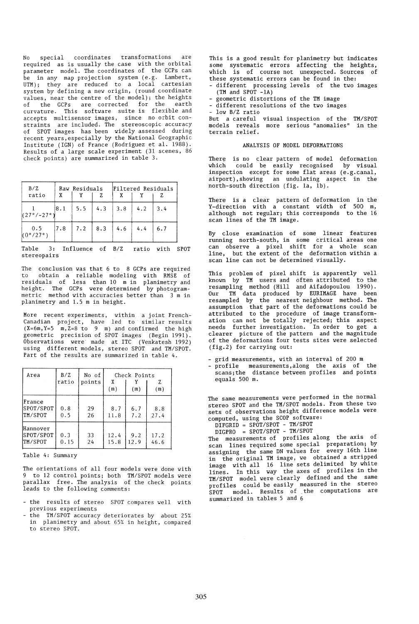No special coordinates transformations are required as is usually the case with the orbital parameter model. The coordinates of the GCPs can be in any map projection system (e.g. Lambert, UTM); they are reduced to a local cartesian system by defining a new origin, (round coordinate values, near the centre of the model); the heights of the GCPs are corrected for the earth curvature. This software suite is flexible and accepts multisensor images, since no orbit constraints are included. The stereoscopic accuracy of SPOT images has been widely assessed during recent years,especially by the National Geographic Institute (IGN) of France (Rodriguez et al. 1988). Results of a large scale experiment (31 scenes, 86 check points) are summarized in table 3.

| B/Z<br>ratio                    | Raw Residuals<br>x |     |     | Filtered Residuals |     |             |
|---------------------------------|--------------------|-----|-----|--------------------|-----|-------------|
| $(27^{\circ}/-27^{\circ})$      | 8.1                | 5.5 | 4.3 | 3.8                | 4.2 | $\vert 3.4$ |
| 0.5<br>$(0^{\circ}/27^{\circ})$ | 17.8               | 7.2 | 8.3 | 4.6                | 4.4 | 6.7         |

Table 3: Influence of B/Z ratio with SPOT stereopairs

The conclusion was that 6 to 8 GCPs are required to obtain a reliable modeling with RMSE of residuals of less than 10 m in planimetry and height. The GCPs were determined by photogrammetric method with accuracies better than 3 m in planimetry and 1.5 m in height.

More recent experiments, within a joint French-Canadian project, have led to similar results  $(X=6m, Y=5 m, Z=8 to 9 m)$  and confirmed the high geometric precision of SPOT images (Begin 1991). Observations were· made at ITC (Venkatesh 1992) using different models, stereo SPOT and TM/SPOT. Part of the results are summarized in table 4.

| Area                             | B/Z<br>ratio | No of<br>points | Check Points<br>X<br>(m)<br>(m) |             | Z<br>(m)     |
|----------------------------------|--------------|-----------------|---------------------------------|-------------|--------------|
| France<br>SPOT/SPOT<br>TM/SPOT   | 0.8<br>0.5   | 29<br>26        | 8.7<br>11.8                     | 6.7<br>7.2  | 8.8<br>27.4  |
| Hannover<br>SPOT/SPOT<br>TM/SPOT | 0.3<br>0.15  | 33<br>24        | 12.4<br>15.8                    | 9.2<br>12.9 | 17.2<br>46.6 |

Table 4: Summary

The orientations of all four models were done with 9 to 12 control points; both TM/SPOT models were parallax free. The analysis of the check points leads to the following comments:

- the results of stereo SPOT compares well with previous experiments
- the TM/SPOT accuracy deteriorates by about 25% in planimetry and about 65% in height, compared to stereo SPOT.

This is a good result for planimetry but indicates some systematic errors affecting the heights, which is of course not unexpected. Sources of these systematic errors can be found in the: different processing levels of the two images

- $(TM \text{ and } \text{SPO}\overset{\cdot}{T} 1A)$
- geometric distortions of the TM image
- different resolutions of the two images
- low B/Z ratio

But a careful visual inspection of the TM/SPOT models reveals more serious "anomalies" in the terrain relief.

### ANALYSIS OF MODEL DEFORMATIONS

There is no clear pattern of model deformation which could be easily recognised by visual inspection except for some flat areas (e.g. canal, airport) ,showing an undulating aspect in the north-south direction (fig. la, 1b).

There is a clear pattern of deformation in the Y-direction with a constant width of 500 m, although not regular; this corresponds to the 16 scan lines of the TM image.

By close examination of some linear features running north-south, in some critical areas one can observe a pixel shift for a whole scan line, but the extent of the deformation within a scan line can not be determined visually.

This problem of pixel shift is apparently well known by TM users and often attributed to the resampling method (Hill and Aifadopoulou 1990). Our TM data produced by EURIMAGE have been resampled by the nearest neighbour method. The assumption that part of the deformations could be attributed to the procedure of image transformation can not be totally rejected; this aspect needs further investigation. In order to get a clearer picture of the pattern and the magnitude of the deformations four tests sites were selected (fig.2) for carrying out:

- grid measurements, with an interval of 200 m - profile measurements,along the axis of the scans;the distance between profiles and points equals 500 m.

The same measurements were performed in the normal stereo SPOT and the TM/SPOT models. From these two sets of observations height difference models were computed, using the SCOP software:

DIFGRID = SPOT/SPOT - TM/SPOT

DIGPRO = SPOT/SPOT - TM/SPOT

The measurements of profiles along the axis of scan lines required some special preparation; by assigning the same DN values for every 16th line in the original TM image, we obtained a stripped image with all 16 line sets delimited by white lines. In this way the axes of profiles in the TM/SPOT model were clearly defined and the same profiles could be easily measured in the stereo SPOT model. Results of the computations are summarized in tables 5 and 6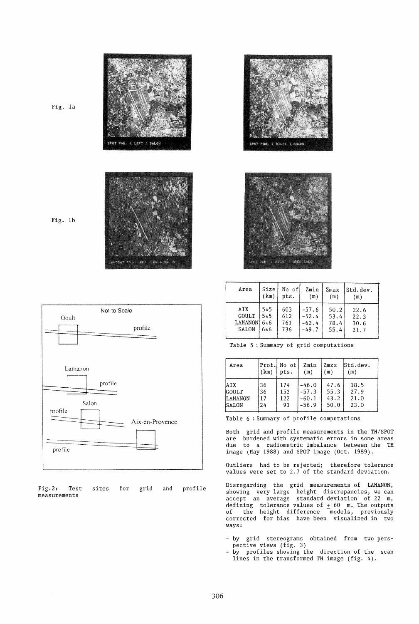

Fig. 1b

Fig. 1a



|              |  |  | Fig.2: Test sites for grid and profile |
|--------------|--|--|----------------------------------------|
| measurements |  |  |                                        |





| Area           | Size  | No of! | Zmin    | Zmax | Std.dev. |
|----------------|-------|--------|---------|------|----------|
|                | (km)  | pts.   | (m)     | (m)  | (m)      |
| AIX            | $5*5$ | 603    | $-57.6$ | 50.2 | 22.6     |
| <b>GOULT</b>   | $5*5$ | 612    | $-52.4$ | 53.4 | 22.3     |
| <b>LAMANON</b> | 6*6   | 761    | $-62.4$ | 78.4 | 30.6     |
| <b>SALON</b>   | $6*6$ | 736    | $-49.7$ | 55.4 | 21.7     |

Table 5 : Summary of grid computations

| Area           | (km) | Prof. No of<br>pts. | Zmin<br>(m) | Zmzx<br>(m) | Std.dev.<br>(m) |
|----------------|------|---------------------|-------------|-------------|-----------------|
| <b>AIX</b>     | 36   | 174                 | $-46.0$     | 47.6        | 18.5            |
| <b>GOULT</b>   | 36   | 152                 | $-57.3$     | 55.3        | 27.9            |
| <b>LAMANON</b> | 17   | 122                 | $-60.1$     | 43.2        | 21.0            |
| SALON          | 24   | 93                  | $-56.9$     | 50.0        | 23.0            |

Table 6 : Summary of profile computations

Both grid and profile measurements in the TM/SPOT are burdened with systematic errors in some areas due to a radiometric imbalance between the TM image (May 1988) and SPOT image (Oct. 1989).

Outliers had to be rejected; therefore tolerance values were set to 2.7 of the standard deviation.

Disregarding the grid measurements of LAMANON, showing very large height discrepancies, we can accept an average standard deviation of 22 m, defining tolerance values of  $\pm$  60 m. The outputs of the height difference models, previously corrected for bias have been visualized in two ways:

- by grid stereograms obtained from two perspective views (fig. 3)
- by profiles showing the direction of the scan lines in the transformed TM image (fig. 4).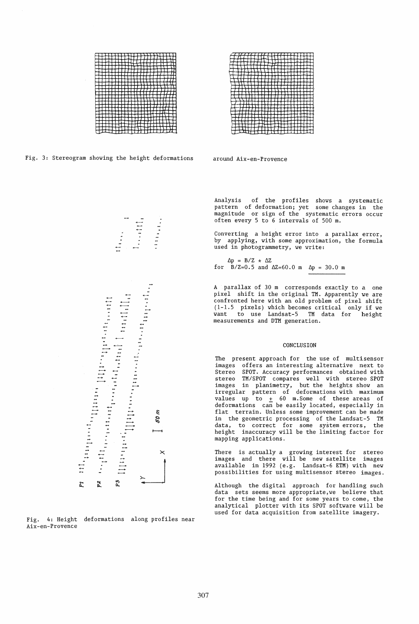



Fig. 3: Stereogram showing the height deformations

around Aix-en-Provence



Fig. 4: Height deformations along profiles near Aix-en-Provence

Analysis of the profiles shows a systematic pattern of deformation; yet some changes in the magnitude or sign of the systematic errors occur often every 5 to 6 intervals of 500 m.

Converting a height error into a parallax error, by applying, with some approximation, the formula used in photogrammetry, we write:

 $\Delta p = B/Z \times \Delta Z$ for  $B/Z=0.5$  and  $\Delta Z=60.0$  m  $\Delta p = 30.0$  m

A parallax of 30 m corresponds exactly to a one pixel shift in the original TH. Apparently we are confronted here with an old problem of pixel shift (1-1.5 pixels) which becomes critical only if we want to use Landsat-5 TM data for height measurements and DTH generation.

### CONCLUSION

The present approach for the use of multisensor images offers an interesting alternative next to Stereo SPOT. Accuracy performances obtained with stereo TH/SPOT compares well with stereo SPOT images in planimetry, but the heights show an irregular pattern of deformations with maximum values up to  $\pm$  60 m. Some of these areas of deformations can be easily located, especially in flat terrain. Unless some improvement can be made in the geometric processing of the Landsat-5 TH data, to correct for some system errors, the height inaccuracy will be the limiting factor for mapping applications.

There is actually a growing interest for stereo images and there will be new satellite images available in 1992 (e.g. Landsat-6 ETH) with new possibilities for using multisensor stereo images.

Although the digital approach for handling such data sets seems more appropriate,we believe that for the time being and for some years to come, the analytical plotter with its SPOT software will be used for data acquisition from satellite imagery.